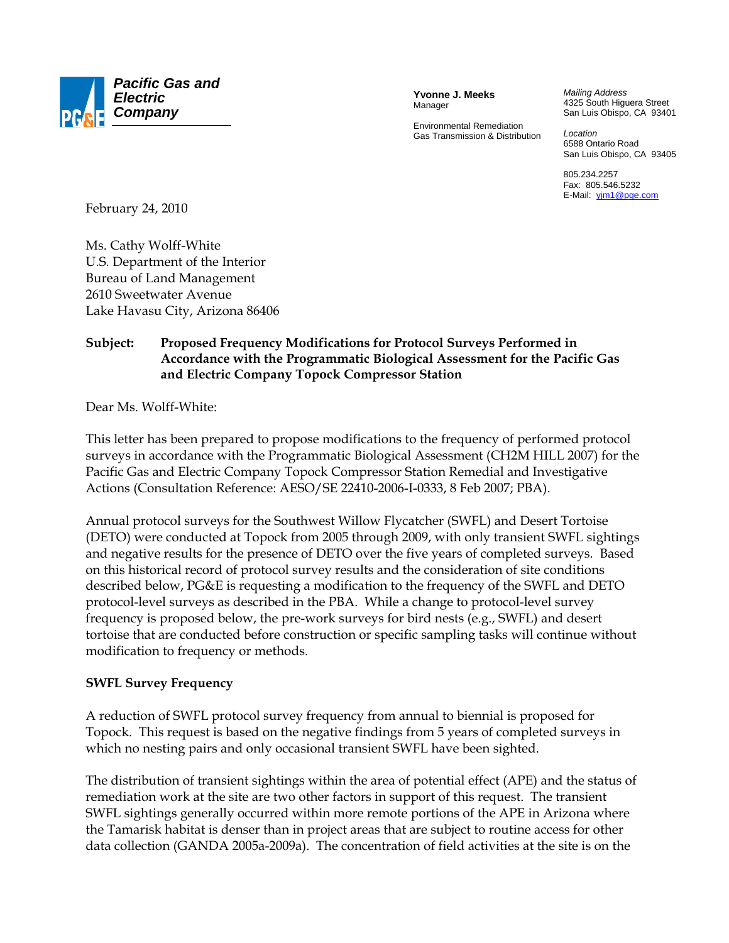

**Yvonne J. Meeks**  Manager

Environmental Remediation Gas Transmission & Distribution *Mailing Address*  4325 South Higuera Street San Luis Obispo, CA 93401

*Location*  6588 Ontario Road San Luis Obispo, CA 93405

805.234.2257 Fax: 805.546.5232 E-Mail: yjm1@pge.com

February 24, 2010

Ms. Cathy Wolff-White U.S. Department of the Interior Bureau of Land Management 2610 Sweetwater Avenue Lake Havasu City, Arizona 86406

## **Subject: Proposed Frequency Modifications for Protocol Surveys Performed in Accordance with the Programmatic Biological Assessment for the Pacific Gas and Electric Company Topock Compressor Station**

Dear Ms. Wolff-White:

This letter has been prepared to propose modifications to the frequency of performed protocol surveys in accordance with the Programmatic Biological Assessment (CH2M HILL 2007) for the Pacific Gas and Electric Company Topock Compressor Station Remedial and Investigative Actions (Consultation Reference: AESO/SE 22410-2006-I-0333, 8 Feb 2007; PBA).

Annual protocol surveys for the Southwest Willow Flycatcher (SWFL) and Desert Tortoise (DETO) were conducted at Topock from 2005 through 2009, with only transient SWFL sightings and negative results for the presence of DETO over the five years of completed surveys. Based on this historical record of protocol survey results and the consideration of site conditions described below, PG&E is requesting a modification to the frequency of the SWFL and DETO protocol-level surveys as described in the PBA. While a change to protocol-level survey frequency is proposed below, the pre-work surveys for bird nests (e.g., SWFL) and desert tortoise that are conducted before construction or specific sampling tasks will continue without modification to frequency or methods.

## **SWFL Survey Frequency**

A reduction of SWFL protocol survey frequency from annual to biennial is proposed for Topock. This request is based on the negative findings from 5 years of completed surveys in which no nesting pairs and only occasional transient SWFL have been sighted.

The distribution of transient sightings within the area of potential effect (APE) and the status of remediation work at the site are two other factors in support of this request. The transient SWFL sightings generally occurred within more remote portions of the APE in Arizona where the Tamarisk habitat is denser than in project areas that are subject to routine access for other data collection (GANDA 2005a-2009a). The concentration of field activities at the site is on the